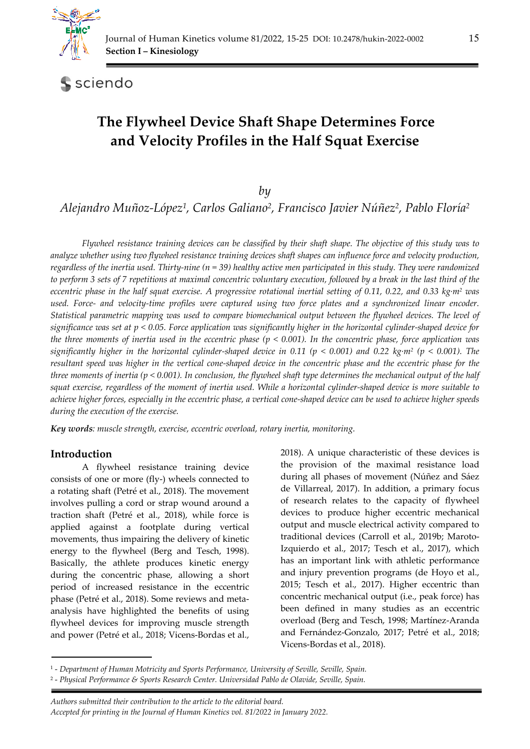

sciendo

# **The Flywheel Device Shaft Shape Determines Force and Velocity Profiles in the Half Squat Exercise**

*by* 

*Alejandro Muñoz-López1, Carlos Galiano2, Francisco Javier Núñez2, Pablo Floría2*

*Flywheel resistance training devices can be classified by their shaft shape. The objective of this study was to analyze whether using two flywheel resistance training devices shaft shapes can influence force and velocity production, regardless of the inertia used. Thirty-nine (n = 39) healthy active men participated in this study. They were randomized to perform 3 sets of 7 repetitions at maximal concentric voluntary execution, followed by a break in the last third of the eccentric phase in the half squat exercise. A progressive rotational inertial setting of 0.11, 0.22, and 0.33 kg·m2 was used. Force- and velocity-time profiles were captured using two force plates and a synchronized linear encoder. Statistical parametric mapping was used to compare biomechanical output between the flywheel devices. The level of significance was set at p < 0.05. Force application was significantly higher in the horizontal cylinder-shaped device for the three moments of inertia used in the eccentric phase (p < 0.001). In the concentric phase, force application was significantly higher in the horizontal cylinder-shaped device in 0.11 (p < 0.001) and 0.22 kg·m2 (p < 0.001). The resultant speed was higher in the vertical cone-shaped device in the concentric phase and the eccentric phase for the three moments of inertia (p < 0.001). In conclusion, the flywheel shaft type determines the mechanical output of the half squat exercise, regardless of the moment of inertia used. While a horizontal cylinder-shaped device is more suitable to achieve higher forces, especially in the eccentric phase, a vertical cone-shaped device can be used to achieve higher speeds during the execution of the exercise.* 

*Key words: muscle strength, exercise, eccentric overload, rotary inertia, monitoring.* 

#### **Introduction**

A flywheel resistance training device consists of one or more (fly-) wheels connected to a rotating shaft (Petré et al., 2018). The movement involves pulling a cord or strap wound around a traction shaft (Petré et al., 2018), while force is applied against a footplate during vertical movements, thus impairing the delivery of kinetic energy to the flywheel (Berg and Tesch, 1998). Basically, the athlete produces kinetic energy during the concentric phase, allowing a short period of increased resistance in the eccentric phase (Petré et al., 2018). Some reviews and metaanalysis have highlighted the benefits of using flywheel devices for improving muscle strength and power (Petré et al., 2018; Vicens-Bordas et al.,

2018). A unique characteristic of these devices is the provision of the maximal resistance load during all phases of movement (Núñez and Sáez de Villarreal, 2017). In addition, a primary focus of research relates to the capacity of flywheel devices to produce higher eccentric mechanical output and muscle electrical activity compared to traditional devices (Carroll et al., 2019b; Maroto-Izquierdo et al., 2017; Tesch et al., 2017), which has an important link with athletic performance and injury prevention programs (de Hoyo et al., 2015; Tesch et al., 2017). Higher eccentric than concentric mechanical output (i.e., peak force) has been defined in many studies as an eccentric overload (Berg and Tesch, 1998; Martínez-Aranda and Fernández-Gonzalo, 2017; Petré et al., 2018; Vicens-Bordas et al., 2018).

 *Authors submitted their contribution to the article to the editorial board. Accepted for printing in the Journal of Human Kinetics vol. 81/2022 in January 2022.* 

<sup>1 -</sup> *Department of Human Motricity and Sports Performance, University of Seville, Seville, Spain.* 

<sup>2 -</sup> *Physical Performance & Sports Research Center. Universidad Pablo de Olavide, Seville, Spain.*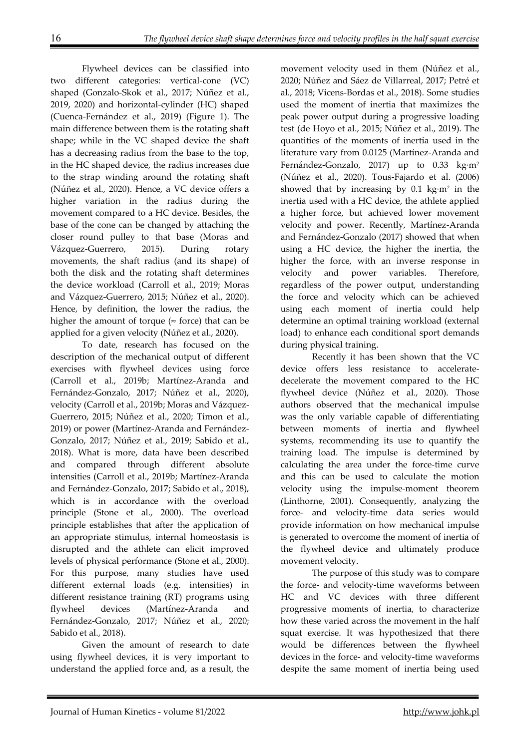Flywheel devices can be classified into two different categories: vertical-cone (VC) shaped (Gonzalo-Skok et al., 2017; Núñez et al., 2019, 2020) and horizontal-cylinder (HC) shaped (Cuenca-Fernández et al., 2019) (Figure 1). The main difference between them is the rotating shaft shape; while in the VC shaped device the shaft has a decreasing radius from the base to the top, in the HC shaped device, the radius increases due to the strap winding around the rotating shaft (Núñez et al., 2020). Hence, a VC device offers a higher variation in the radius during the movement compared to a HC device. Besides, the base of the cone can be changed by attaching the closer round pulley to that base (Moras and Vázquez-Guerrero, 2015). During rotary movements, the shaft radius (and its shape) of both the disk and the rotating shaft determines the device workload (Carroll et al., 2019; Moras and Vázquez-Guerrero, 2015; Núñez et al., 2020). Hence, by definition, the lower the radius, the higher the amount of torque ( $\approx$  force) that can be applied for a given velocity (Núñez et al., 2020).

To date, research has focused on the description of the mechanical output of different exercises with flywheel devices using force (Carroll et al., 2019b; Martínez-Aranda and Fernández-Gonzalo, 2017; Núñez et al., 2020), velocity (Carroll et al., 2019b; Moras and Vázquez-Guerrero, 2015; Núñez et al., 2020; Timon et al., 2019) or power (Martínez-Aranda and Fernández-Gonzalo, 2017; Núñez et al., 2019; Sabido et al., 2018). What is more, data have been described and compared through different absolute intensities (Carroll et al., 2019b; Martínez-Aranda and Fernández-Gonzalo, 2017; Sabido et al., 2018), which is in accordance with the overload principle (Stone et al., 2000). The overload principle establishes that after the application of an appropriate stimulus, internal homeostasis is disrupted and the athlete can elicit improved levels of physical performance (Stone et al., 2000). For this purpose, many studies have used different external loads (e.g. intensities) in different resistance training (RT) programs using flywheel devices (Martínez-Aranda and Fernández-Gonzalo, 2017; Núñez et al., 2020; Sabido et al., 2018).

Given the amount of research to date using flywheel devices, it is very important to understand the applied force and, as a result, the movement velocity used in them (Núñez et al., 2020; Núñez and Sáez de Villarreal, 2017; Petré et al., 2018; Vicens-Bordas et al., 2018). Some studies used the moment of inertia that maximizes the peak power output during a progressive loading test (de Hoyo et al., 2015; Núñez et al., 2019). The quantities of the moments of inertia used in the literature vary from 0.0125 (Martínez-Aranda and Fernández-Gonzalo, 2017) up to 0.33 kg·m<sup>2</sup> (Núñez et al., 2020). Tous-Fajardo et al. (2006) showed that by increasing by  $0.1 \text{ kg} \cdot \text{m}^2$  in the inertia used with a HC device, the athlete applied a higher force, but achieved lower movement velocity and power. Recently, Martínez-Aranda and Fernández-Gonzalo (2017) showed that when using a HC device, the higher the inertia, the higher the force, with an inverse response in velocity and power variables. Therefore, regardless of the power output, understanding the force and velocity which can be achieved using each moment of inertia could help determine an optimal training workload (external load) to enhance each conditional sport demands during physical training.

Recently it has been shown that the VC device offers less resistance to acceleratedecelerate the movement compared to the HC flywheel device (Núñez et al., 2020). Those authors observed that the mechanical impulse was the only variable capable of differentiating between moments of inertia and flywheel systems, recommending its use to quantify the training load. The impulse is determined by calculating the area under the force-time curve and this can be used to calculate the motion velocity using the impulse-moment theorem (Linthorne, 2001). Consequently, analyzing the force- and velocity-time data series would provide information on how mechanical impulse is generated to overcome the moment of inertia of the flywheel device and ultimately produce movement velocity.

The purpose of this study was to compare the force- and velocity-time waveforms between HC and VC devices with three different progressive moments of inertia, to characterize how these varied across the movement in the half squat exercise. It was hypothesized that there would be differences between the flywheel devices in the force- and velocity-time waveforms despite the same moment of inertia being used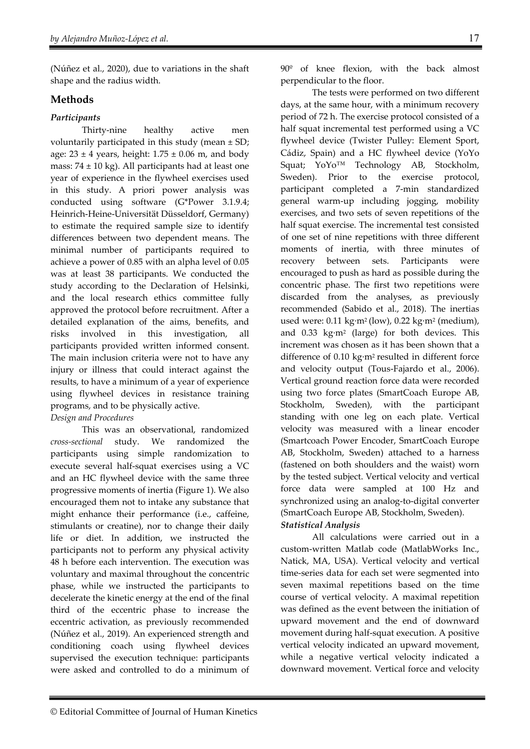(Núñez et al., 2020), due to variations in the shaft shape and the radius width.

### **Methods**

#### *Participants*

Thirty-nine healthy active men voluntarily participated in this study (mean ± SD; age:  $23 \pm 4$  years, height:  $1.75 \pm 0.06$  m, and body mass:  $74 \pm 10$  kg). All participants had at least one year of experience in the flywheel exercises used in this study. A priori power analysis was conducted using software (G\*Power 3.1.9.4; Heinrich-Heine-Universität Düsseldorf, Germany) to estimate the required sample size to identify differences between two dependent means. The minimal number of participants required to achieve a power of 0.85 with an alpha level of 0.05 was at least 38 participants. We conducted the study according to the Declaration of Helsinki, and the local research ethics committee fully approved the protocol before recruitment. After a detailed explanation of the aims, benefits, and risks involved in this investigation, all participants provided written informed consent. The main inclusion criteria were not to have any injury or illness that could interact against the results, to have a minimum of a year of experience using flywheel devices in resistance training programs, and to be physically active.

## *Design and Procedures*

This was an observational, randomized *cross-sectional* study. We randomized the participants using simple randomization to execute several half-squat exercises using a VC and an HC flywheel device with the same three progressive moments of inertia (Figure 1). We also encouraged them not to intake any substance that might enhance their performance (i.e., caffeine, stimulants or creatine), nor to change their daily life or diet. In addition, we instructed the participants not to perform any physical activity 48 h before each intervention. The execution was voluntary and maximal throughout the concentric phase, while we instructed the participants to decelerate the kinetic energy at the end of the final third of the eccentric phase to increase the eccentric activation, as previously recommended (Núñez et al., 2019). An experienced strength and conditioning coach using flywheel devices supervised the execution technique: participants were asked and controlled to do a minimum of 90º of knee flexion, with the back almost perpendicular to the floor.

The tests were performed on two different days, at the same hour, with a minimum recovery period of 72 h. The exercise protocol consisted of a half squat incremental test performed using a VC flywheel device (Twister Pulley: Element Sport, Cádiz, Spain) and a HC flywheel device (YoYo Squat; YoYo™ Technology AB, Stockholm, Sweden). Prior to the exercise protocol, participant completed a 7-min standardized general warm-up including jogging, mobility exercises, and two sets of seven repetitions of the half squat exercise. The incremental test consisted of one set of nine repetitions with three different moments of inertia, with three minutes of recovery between sets. Participants were encouraged to push as hard as possible during the concentric phase. The first two repetitions were discarded from the analyses, as previously recommended (Sabido et al., 2018). The inertias used were: 0.11 kg·m<sup>2</sup> (low), 0.22 kg·m<sup>2</sup> (medium), and 0.33 kg·m2 (large) for both devices. This increment was chosen as it has been shown that a difference of 0.10 kg·m2 resulted in different force and velocity output (Tous-Fajardo et al., 2006). Vertical ground reaction force data were recorded using two force plates (SmartCoach Europe AB, Stockholm, Sweden), with the participant standing with one leg on each plate. Vertical velocity was measured with a linear encoder (Smartcoach Power Encoder, SmartCoach Europe AB, Stockholm, Sweden) attached to a harness (fastened on both shoulders and the waist) worn by the tested subject. Vertical velocity and vertical force data were sampled at 100 Hz and synchronized using an analog-to-digital converter (SmartCoach Europe AB, Stockholm, Sweden).

### *Statistical Analysis*

All calculations were carried out in a custom-written Matlab code (MatlabWorks Inc., Natick, MA, USA). Vertical velocity and vertical time-series data for each set were segmented into seven maximal repetitions based on the time course of vertical velocity. A maximal repetition was defined as the event between the initiation of upward movement and the end of downward movement during half-squat execution. A positive vertical velocity indicated an upward movement, while a negative vertical velocity indicated a downward movement. Vertical force and velocity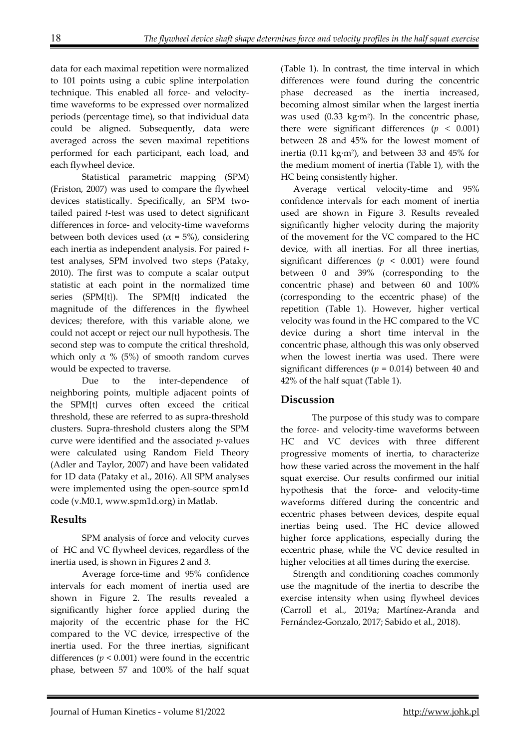data for each maximal repetition were normalized to 101 points using a cubic spline interpolation technique. This enabled all force- and velocitytime waveforms to be expressed over normalized periods (percentage time), so that individual data could be aligned. Subsequently, data were averaged across the seven maximal repetitions performed for each participant, each load, and each flywheel device.

Statistical parametric mapping (SPM) (Friston, 2007) was used to compare the flywheel devices statistically. Specifically, an SPM twotailed paired *t*-test was used to detect significant differences in force- and velocity-time waveforms between both devices used ( $\alpha$  = 5%), considering each inertia as independent analysis. For paired *t*test analyses, SPM involved two steps (Pataky, 2010). The first was to compute a scalar output statistic at each point in the normalized time series (SPM{t}). The SPM{t} indicated the magnitude of the differences in the flywheel devices; therefore, with this variable alone, we could not accept or reject our null hypothesis. The second step was to compute the critical threshold, which only  $\alpha$  % (5%) of smooth random curves would be expected to traverse.

Due to the inter-dependence of neighboring points, multiple adjacent points of the SPM{t} curves often exceed the critical threshold, these are referred to as supra-threshold clusters. Supra-threshold clusters along the SPM curve were identified and the associated *p*-values were calculated using Random Field Theory (Adler and Taylor, 2007) and have been validated for 1D data (Pataky et al., 2016). All SPM analyses were implemented using the open-source spm1d code (v.M0.1, www.spm1d.org) in Matlab.

### **Results**

SPM analysis of force and velocity curves of HC and VC flywheel devices, regardless of the inertia used, is shown in Figures 2 and 3.

Average force-time and 95% confidence intervals for each moment of inertia used are shown in Figure 2. The results revealed a significantly higher force applied during the majority of the eccentric phase for the HC compared to the VC device, irrespective of the inertia used. For the three inertias, significant differences  $(p < 0.001)$  were found in the eccentric phase, between 57 and 100% of the half squat

(Table 1). In contrast, the time interval in which differences were found during the concentric phase decreased as the inertia increased, becoming almost similar when the largest inertia was used (0.33 kg·m<sup>2</sup>). In the concentric phase, there were significant differences  $(p < 0.001)$ between 28 and 45% for the lowest moment of inertia (0.11 kg·m2), and between 33 and 45% for the medium moment of inertia (Table 1), with the HC being consistently higher.

Average vertical velocity-time and 95% confidence intervals for each moment of inertia used are shown in Figure 3. Results revealed significantly higher velocity during the majority of the movement for the VC compared to the HC device, with all inertias. For all three inertias, significant differences ( $p < 0.001$ ) were found between 0 and 39% (corresponding to the concentric phase) and between 60 and 100% (corresponding to the eccentric phase) of the repetition (Table 1). However, higher vertical velocity was found in the HC compared to the VC device during a short time interval in the concentric phase, although this was only observed when the lowest inertia was used. There were significant differences ( $p = 0.014$ ) between 40 and 42% of the half squat (Table 1).

### **Discussion**

The purpose of this study was to compare the force- and velocity-time waveforms between HC and VC devices with three different progressive moments of inertia, to characterize how these varied across the movement in the half squat exercise. Our results confirmed our initial hypothesis that the force- and velocity-time waveforms differed during the concentric and eccentric phases between devices, despite equal inertias being used. The HC device allowed higher force applications, especially during the eccentric phase, while the VC device resulted in higher velocities at all times during the exercise.

Strength and conditioning coaches commonly use the magnitude of the inertia to describe the exercise intensity when using flywheel devices (Carroll et al., 2019a; Martínez-Aranda and Fernández-Gonzalo, 2017; Sabido et al., 2018).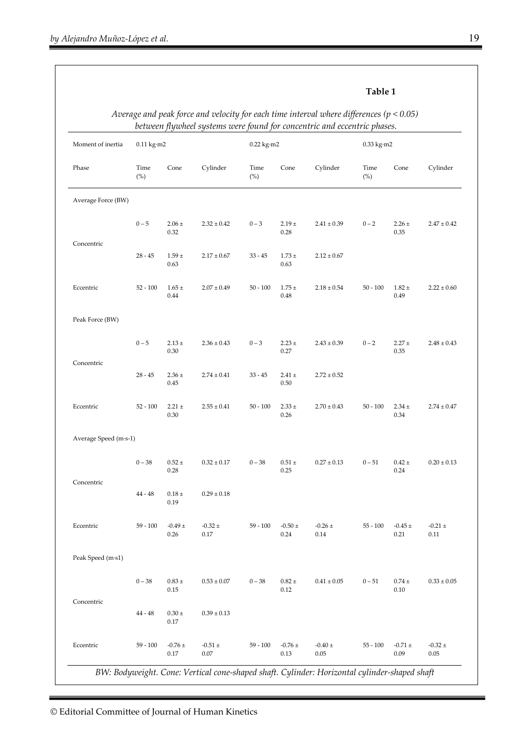| ρ<br>арц |  |
|----------|--|
|----------|--|

| Moment of inertia<br>Phase | $0.11 \text{ kg} \cdot \text{m}$ 2 |                           |                         | $0.22$ kg·m2 |                       |                     | $0.33$ kg $\cdot$ m2 |                           |                     |
|----------------------------|------------------------------------|---------------------------|-------------------------|--------------|-----------------------|---------------------|----------------------|---------------------------|---------------------|
|                            | Time<br>$(\%)$                     | Cone                      | Cylinder                | Time<br>(%)  | Cone                  | Cylinder            | Time<br>(%)          | Cone                      | Cylinder            |
| Average Force (BW)         |                                    |                           |                         |              |                       |                     |                      |                           |                     |
|                            | $0 - 5$                            | $2.06 \pm$<br>0.32        | $2.32 \pm 0.42$         | $0 - 3$      | $2.19 +$<br>0.28      | $2.41 \pm 0.39$     | $0 - 2$              | $2.26 \pm$<br>0.35        | $2.47 \pm 0.42$     |
| Concentric                 | $28 - 45$                          | $1.59 \pm$<br>0.63        | $2.17 \pm 0.67$         | $33 - 45$    | $1.73 \pm$<br>0.63    | $2.12 \pm 0.67$     |                      |                           |                     |
| Eccentric                  | $52 - 100$                         | $1.65 \pm$<br>0.44        | $2.07 \pm 0.49$         | $50 - 100$   | $1.75 \pm$<br>0.48    | $2.18 \pm 0.54$     | $50 - 100$           | $1.82 \pm$<br>0.49        | $2.22 \pm 0.60$     |
| Peak Force (BW)            |                                    |                           |                         |              |                       |                     |                      |                           |                     |
|                            | $0 - 5$                            | $2.13 \pm$<br>0.30        | $2.36\pm0.43$           | $0 - 3$      | $2.23 \pm$<br>0.27    | $2.43 \pm 0.39$     | $0 - 2$              | $2.27 \pm$<br>0.35        | $2.48 \pm 0.43$     |
| Concentric                 | $28 - 45$                          | $2.36$ $\pm$<br>0.45      | $2.74 \pm 0.41$         | $33 - 45$    | $2.41 \pm$<br>0.50    | $2.72 \pm 0.52$     |                      |                           |                     |
| Eccentric                  | $52 - 100$                         | $2.21 \pm$<br>0.30        | $2.55 \pm 0.41$         | $50 - 100$   | $2.33 \pm$<br>0.26    | $2.70 \pm 0.43$     | $50 - 100$           | $2.34 \pm$<br>0.34        | $2.74 \pm 0.47$     |
| Average Speed (m·s-1)      |                                    |                           |                         |              |                       |                     |                      |                           |                     |
|                            | $0 - 38$                           | $0.52 \pm$<br>0.28        | $0.32 \pm 0.17$         | $0 - 38$     | $0.51 \pm$<br>0.25    | $0.27 \pm 0.13$     | $0 - 51$             | $0.42 \pm$<br>0.24        | $0.20 \pm 0.13$     |
| Concentric                 | $44 - 48$                          | $0.18 \pm$<br>0.19        | $0.29 \pm 0.18$         |              |                       |                     |                      |                           |                     |
| Eccentric                  | $59 - 100$                         | $-0.49 \pm$<br>0.26       | $-0.32 \pm$<br>0.17     | $59 - 100$   | $-0.50 \pm$<br>0.24   | $-0.26 \pm$<br>0.14 | $55 - 100$           | $-0.45 \pm$<br>0.21       | $-0.21 \pm$<br>0.11 |
| Peak Speed (m·s1)          |                                    |                           |                         |              |                       |                     |                      |                           |                     |
|                            | $0-38\,$                           | $0.83\,\pm\,$<br>$0.15\,$ | $0.53\pm0.07$           | $0 - 38$     | $0.82\,\pm\,$<br>0.12 | $0.41\pm0.05$       | $0 - 51$             | $0.74\,\pm\,$<br>$0.10\,$ | $0.33\pm0.05$       |
| Concentric                 | 44 - 48                            | $0.30\,\pm\,$<br>$0.17\,$ | $0.39\pm0.13$           |              |                       |                     |                      |                           |                     |
| Eccentric                  | $59 - 100$                         | -0.76 $\pm$<br>0.17       | $-0.51 \pm$<br>$0.07\,$ | $59 - 100$   | -0.76 $\pm$<br>0.13   | -0.40 $\pm$<br>0.05 | $55 - 100$           | -0.71 $\pm$<br>0.09       | $-0.32 \pm$<br>0.05 |

*Average and peak force and velocity for each time interval where differences (p < 0.05)*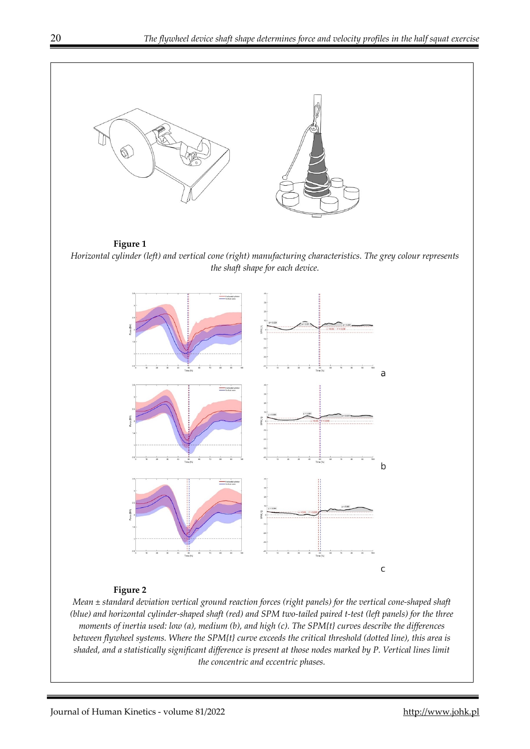

*moments of inertia used: low (a), medium (b), and high (c). The SPM{t} curves describe the differences between flywheel systems. Where the SPM{t} curve exceeds the critical threshold (dotted line), this area is shaded, and a statistically significant difference is present at those nodes marked by P. Vertical lines limit the concentric and eccentric phases.*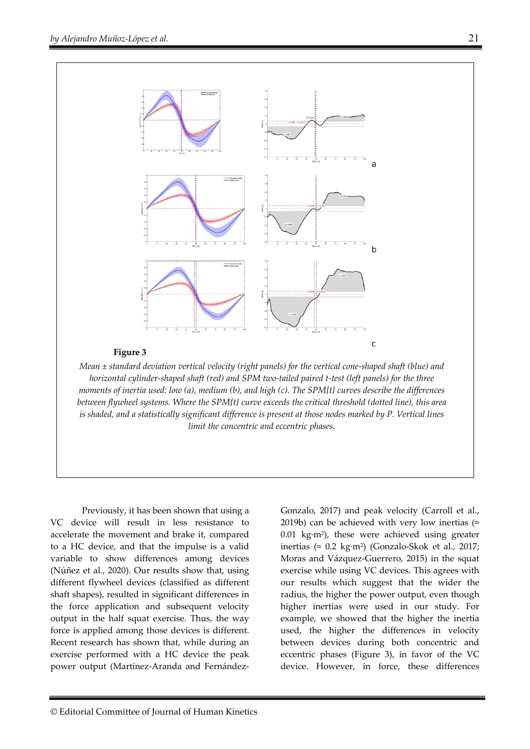

Previously, it has been shown that using a VC device will result in less resistance to accelerate the movement and brake it, compared to a HC device, and that the impulse is a valid variable to show differences among devices (Núñez et al., 2020). Our results show that, using different flywheel devices (classified as different shaft shapes), resulted in significant differences in the force application and subsequent velocity output in the half squat exercise. Thus, the way force is applied among those devices is different. Recent research has shown that, while during an exercise performed with a HC device the peak power output (Martínez-Aranda and Fernández-

Gonzalo, 2017) and peak velocity (Carroll et al., 2019b) can be achieved with very low inertias ( $\approx$ 0.01 kg·m2), these were achieved using greater inertias ( $\approx 0.2$  kg·m<sup>2</sup>) (Gonzalo-Skok et al., 2017; Moras and Vázquez-Guerrero, 2015) in the squat exercise while using VC devices. This agrees with our results which suggest that the wider the radius, the higher the power output, even though higher inertias were used in our study. For example, we showed that the higher the inertia used, the higher the differences in velocity between devices during both concentric and eccentric phases (Figure 3), in favor of the VC device. However, in force, these differences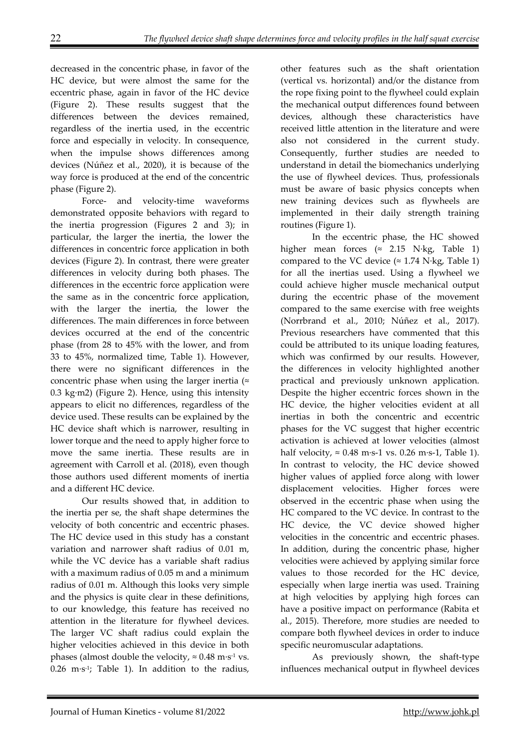decreased in the concentric phase, in favor of the HC device, but were almost the same for the eccentric phase, again in favor of the HC device (Figure 2). These results suggest that the differences between the devices remained, regardless of the inertia used, in the eccentric force and especially in velocity. In consequence, when the impulse shows differences among devices (Núñez et al., 2020), it is because of the way force is produced at the end of the concentric phase (Figure 2).

Force- and velocity-time waveforms demonstrated opposite behaviors with regard to the inertia progression (Figures 2 and 3); in particular, the larger the inertia, the lower the differences in concentric force application in both devices (Figure 2). In contrast, there were greater differences in velocity during both phases. The differences in the eccentric force application were the same as in the concentric force application, with the larger the inertia, the lower the differences. The main differences in force between devices occurred at the end of the concentric phase (from 28 to 45% with the lower, and from 33 to 45%, normalized time, Table 1). However, there were no significant differences in the concentric phase when using the larger inertia  $($ 0.3 kg·m2) (Figure 2). Hence, using this intensity appears to elicit no differences, regardless of the device used. These results can be explained by the HC device shaft which is narrower, resulting in lower torque and the need to apply higher force to move the same inertia. These results are in agreement with Carroll et al. (2018), even though those authors used different moments of inertia and a different HC device.

Our results showed that, in addition to the inertia per se, the shaft shape determines the velocity of both concentric and eccentric phases. The HC device used in this study has a constant variation and narrower shaft radius of 0.01 m, while the VC device has a variable shaft radius with a maximum radius of 0.05 m and a minimum radius of 0.01 m. Although this looks very simple and the physics is quite clear in these definitions, to our knowledge, this feature has received no attention in the literature for flywheel devices. The larger VC shaft radius could explain the higher velocities achieved in this device in both phases (almost double the velocity,  $\approx 0.48 \text{ m} \cdot \text{s}^{-1}$  vs.  $0.26$  m·s<sup>-1</sup>; Table 1). In addition to the radius,

other features such as the shaft orientation (vertical vs. horizontal) and/or the distance from the rope fixing point to the flywheel could explain the mechanical output differences found between devices, although these characteristics have received little attention in the literature and were also not considered in the current study. Consequently, further studies are needed to understand in detail the biomechanics underlying the use of flywheel devices. Thus, professionals must be aware of basic physics concepts when new training devices such as flywheels are implemented in their daily strength training routines (Figure 1).

In the eccentric phase, the HC showed higher mean forces ( $\approx$  2.15 N·kg, Table 1) compared to the VC device ( $\approx 1.74$  N·kg, Table 1) for all the inertias used. Using a flywheel we could achieve higher muscle mechanical output during the eccentric phase of the movement compared to the same exercise with free weights (Norrbrand et al., 2010; Núñez et al., 2017). Previous researchers have commented that this could be attributed to its unique loading features, which was confirmed by our results. However, the differences in velocity highlighted another practical and previously unknown application. Despite the higher eccentric forces shown in the HC device, the higher velocities evident at all inertias in both the concentric and eccentric phases for the VC suggest that higher eccentric activation is achieved at lower velocities (almost half velocity,  $\approx 0.48$  m·s-1 vs. 0.26 m·s-1, Table 1). In contrast to velocity, the HC device showed higher values of applied force along with lower displacement velocities. Higher forces were observed in the eccentric phase when using the HC compared to the VC device. In contrast to the HC device, the VC device showed higher velocities in the concentric and eccentric phases. In addition, during the concentric phase, higher velocities were achieved by applying similar force values to those recorded for the HC device, especially when large inertia was used. Training at high velocities by applying high forces can have a positive impact on performance (Rabita et al., 2015). Therefore, more studies are needed to compare both flywheel devices in order to induce specific neuromuscular adaptations.

As previously shown, the shaft-type influences mechanical output in flywheel devices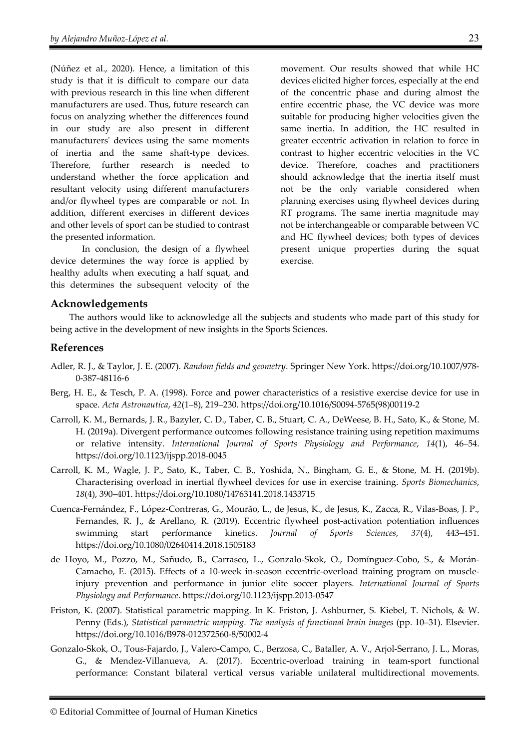(Núñez et al., 2020). Hence, a limitation of this study is that it is difficult to compare our data with previous research in this line when different manufacturers are used. Thus, future research can focus on analyzing whether the differences found in our study are also present in different manufacturers' devices using the same moments of inertia and the same shaft-type devices. Therefore, further research is needed to understand whether the force application and resultant velocity using different manufacturers and/or flywheel types are comparable or not. In addition, different exercises in different devices and other levels of sport can be studied to contrast the presented information.

In conclusion, the design of a flywheel device determines the way force is applied by healthy adults when executing a half squat, and this determines the subsequent velocity of the movement. Our results showed that while HC devices elicited higher forces, especially at the end of the concentric phase and during almost the entire eccentric phase, the VC device was more suitable for producing higher velocities given the same inertia. In addition, the HC resulted in greater eccentric activation in relation to force in contrast to higher eccentric velocities in the VC device. Therefore, coaches and practitioners should acknowledge that the inertia itself must not be the only variable considered when planning exercises using flywheel devices during RT programs. The same inertia magnitude may not be interchangeable or comparable between VC and HC flywheel devices; both types of devices present unique properties during the squat exercise.

#### **Acknowledgements**

The authors would like to acknowledge all the subjects and students who made part of this study for being active in the development of new insights in the Sports Sciences.

#### **References**

- Adler, R. J., & Taylor, J. E. (2007). *Random fields and geometry*. Springer New York. https://doi.org/10.1007/978- 0-387-48116-6
- Berg, H. E., & Tesch, P. A. (1998). Force and power characteristics of a resistive exercise device for use in space. *Acta Astronautica*, *42*(1–8), 219–230. https://doi.org/10.1016/S0094-5765(98)00119-2
- Carroll, K. M., Bernards, J. R., Bazyler, C. D., Taber, C. B., Stuart, C. A., DeWeese, B. H., Sato, K., & Stone, M. H. (2019a). Divergent performance outcomes following resistance training using repetition maximums or relative intensity. *International Journal of Sports Physiology and Performance*, *14*(1), 46–54. https://doi.org/10.1123/ijspp.2018-0045
- Carroll, K. M., Wagle, J. P., Sato, K., Taber, C. B., Yoshida, N., Bingham, G. E., & Stone, M. H. (2019b). Characterising overload in inertial flywheel devices for use in exercise training. *Sports Biomechanics*, *18*(4), 390–401. https://doi.org/10.1080/14763141.2018.1433715
- Cuenca-Fernández, F., López-Contreras, G., Mourão, L., de Jesus, K., de Jesus, K., Zacca, R., Vilas-Boas, J. P., Fernandes, R. J., & Arellano, R. (2019). Eccentric flywheel post-activation potentiation influences swimming start performance kinetics. *Journal of Sports Sciences*, *37*(4), 443–451. https://doi.org/10.1080/02640414.2018.1505183
- de Hoyo, M., Pozzo, M., Sañudo, B., Carrasco, L., Gonzalo-Skok, O., Domínguez-Cobo, S., & Morán-Camacho, E. (2015). Effects of a 10-week in-season eccentric-overload training program on muscleinjury prevention and performance in junior elite soccer players. *International Journal of Sports Physiology and Performance*. https://doi.org/10.1123/ijspp.2013-0547
- Friston, K. (2007). Statistical parametric mapping. In K. Friston, J. Ashburner, S. Kiebel, T. Nichols, & W. Penny (Eds.), *Statistical parametric mapping. The analysis of functional brain images* (pp. 10–31). Elsevier. https://doi.org/10.1016/B978-012372560-8/50002-4
- Gonzalo-Skok, O., Tous-Fajardo, J., Valero-Campo, C., Berzosa, C., Bataller, A. V., Arjol-Serrano, J. L., Moras, G., & Mendez-Villanueva, A. (2017). Eccentric-overload training in team-sport functional performance: Constant bilateral vertical versus variable unilateral multidirectional movements.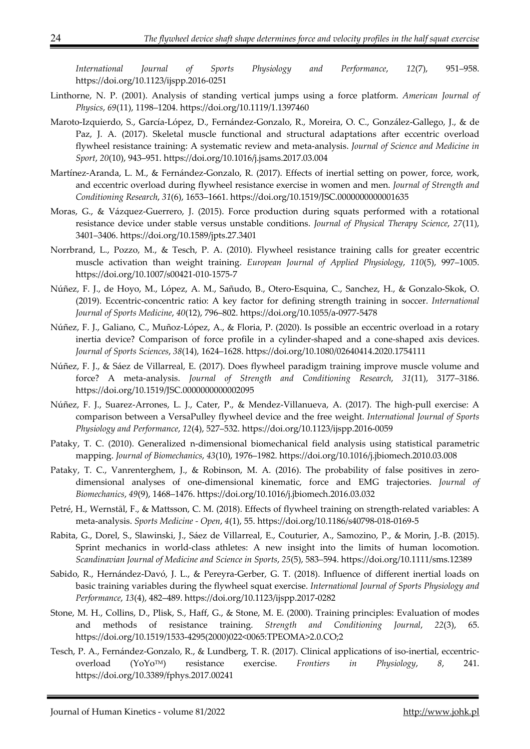*International Journal of Sports Physiology and Performance*, *12*(7), 951–958. https://doi.org/10.1123/ijspp.2016-0251

- Linthorne, N. P. (2001). Analysis of standing vertical jumps using a force platform. *American Journal of Physics*, *69*(11), 1198–1204. https://doi.org/10.1119/1.1397460
- Maroto-Izquierdo, S., García-López, D., Fernández-Gonzalo, R., Moreira, O. C., González-Gallego, J., & de Paz, J. A. (2017). Skeletal muscle functional and structural adaptations after eccentric overload flywheel resistance training: A systematic review and meta-analysis. *Journal of Science and Medicine in Sport*, *20*(10), 943–951. https://doi.org/10.1016/j.jsams.2017.03.004
- Martínez-Aranda, L. M., & Fernández-Gonzalo, R. (2017). Effects of inertial setting on power, force, work, and eccentric overload during flywheel resistance exercise in women and men. *Journal of Strength and Conditioning Research*, *31*(6), 1653–1661. https://doi.org/10.1519/JSC.0000000000001635
- Moras, G., & Vázquez-Guerrero, J. (2015). Force production during squats performed with a rotational resistance device under stable versus unstable conditions. *Journal of Physical Therapy Science*, *27*(11), 3401–3406. https://doi.org/10.1589/jpts.27.3401
- Norrbrand, L., Pozzo, M., & Tesch, P. A. (2010). Flywheel resistance training calls for greater eccentric muscle activation than weight training. *European Journal of Applied Physiology*, *110*(5), 997–1005. https://doi.org/10.1007/s00421-010-1575-7
- Núñez, F. J., de Hoyo, M., López, A. M., Sañudo, B., Otero-Esquina, C., Sanchez, H., & Gonzalo-Skok, O. (2019). Eccentric-concentric ratio: A key factor for defining strength training in soccer. *International Journal of Sports Medicine*, *40*(12), 796–802. https://doi.org/10.1055/a-0977-5478
- Núñez, F. J., Galiano, C., Muñoz-López, A., & Floria, P. (2020). Is possible an eccentric overload in a rotary inertia device? Comparison of force profile in a cylinder-shaped and a cone-shaped axis devices. *Journal of Sports Sciences*, *38*(14), 1624–1628. https://doi.org/10.1080/02640414.2020.1754111
- Núñez, F. J., & Sáez de Villarreal, E. (2017). Does flywheel paradigm training improve muscle volume and force? A meta-analysis. *Journal of Strength and Conditioning Research*, *31*(11), 3177–3186. https://doi.org/10.1519/JSC.0000000000002095
- Núñez, F. J., Suarez-Arrones, L. J., Cater, P., & Mendez-Villanueva, A. (2017). The high-pull exercise: A comparison between a VersaPulley flywheel device and the free weight. *International Journal of Sports Physiology and Performance*, *12*(4), 527–532. https://doi.org/10.1123/ijspp.2016-0059
- Pataky, T. C. (2010). Generalized n-dimensional biomechanical field analysis using statistical parametric mapping. *Journal of Biomechanics*, *43*(10), 1976–1982. https://doi.org/10.1016/j.jbiomech.2010.03.008
- Pataky, T. C., Vanrenterghem, J., & Robinson, M. A. (2016). The probability of false positives in zerodimensional analyses of one-dimensional kinematic, force and EMG trajectories. *Journal of Biomechanics*, *49*(9), 1468–1476. https://doi.org/10.1016/j.jbiomech.2016.03.032
- Petré, H., Wernstål, F., & Mattsson, C. M. (2018). Effects of flywheel training on strength-related variables: A meta-analysis. *Sports Medicine - Open*, *4*(1), 55. https://doi.org/10.1186/s40798-018-0169-5
- Rabita, G., Dorel, S., Slawinski, J., Sáez de Villarreal, E., Couturier, A., Samozino, P., & Morin, J.-B. (2015). Sprint mechanics in world-class athletes: A new insight into the limits of human locomotion. *Scandinavian Journal of Medicine and Science in Sports*, *25*(5), 583–594. https://doi.org/10.1111/sms.12389
- Sabido, R., Hernández-Davó, J. L., & Pereyra-Gerber, G. T. (2018). Influence of different inertial loads on basic training variables during the flywheel squat exercise. *International Journal of Sports Physiology and Performance*, *13*(4), 482–489. https://doi.org/10.1123/ijspp.2017-0282
- Stone, M. H., Collins, D., Plisk, S., Haff, G., & Stone, M. E. (2000). Training principles: Evaluation of modes and methods of resistance training. *Strength and Conditioning Journal*, *22*(3), 65. https://doi.org/10.1519/1533-4295(2000)022<0065:TPEOMA>2.0.CO;2
- Tesch, P. A., Fernández-Gonzalo, R., & Lundberg, T. R. (2017). Clinical applications of iso-inertial, eccentricoverload (YoYoTM) resistance exercise. *Frontiers in Physiology*, *8*, 241. https://doi.org/10.3389/fphys.2017.00241